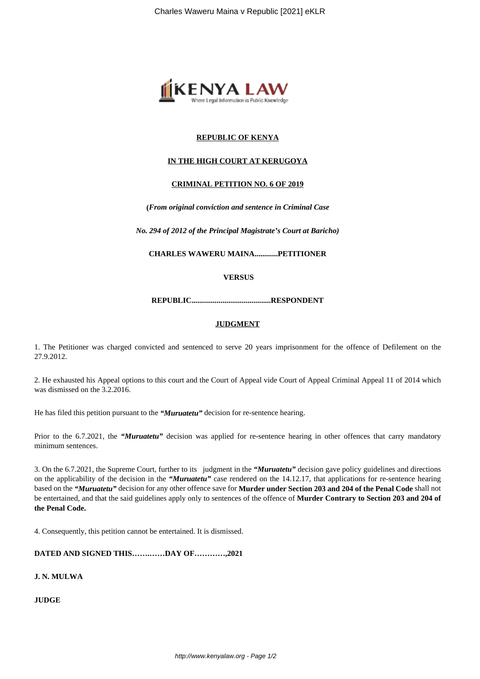

# **REPUBLIC OF KENYA**

## **IN THE HIGH COURT AT KERUGOYA**

### **CRIMINAL PETITION NO. 6 OF 2019**

**(***From original conviction and sentence in Criminal Case*

*No. 294 of 2012 of the Principal Magistrate's Court at Baricho)*

**CHARLES WAWERU MAINA............PETITIONER**

**VERSUS**

**REPUBLIC.........................................RESPONDENT**

#### **JUDGMENT**

1. The Petitioner was charged convicted and sentenced to serve 20 years imprisonment for the offence of Defilement on the 27.9.2012.

2. He exhausted his Appeal options to this court and the Court of Appeal vide Court of Appeal Criminal Appeal 11 of 2014 which was dismissed on the 3.2.2016.

He has filed this petition pursuant to the *"Muruatetu"* decision for re-sentence hearing.

Prior to the 6.7.2021, the "*Muruatetu"* decision was applied for re-sentence hearing in other offences that carry mandatory minimum sentences.

3. On the 6.7.2021, the Supreme Court, further to its judgment in the *"Muruatetu"* decision gave policy guidelines and directions on the applicability of the decision in the *"Muruatetu"* case rendered on the 14.12.17, that applications for re-sentence hearing based on the *"Muruatetu"* decision for any other offence save for **Murder under Section 203 and 204 of the Penal Code** shall not be entertained, and that the said guidelines apply only to sentences of the offence of **Murder Contrary to Section 203 and 204 of the Penal Code.**

4. Consequently, this petition cannot be entertained. It is dismissed.

**DATED AND SIGNED THIS…….……DAY OF…………,2021**

**J. N. MULWA**

**JUDGE**